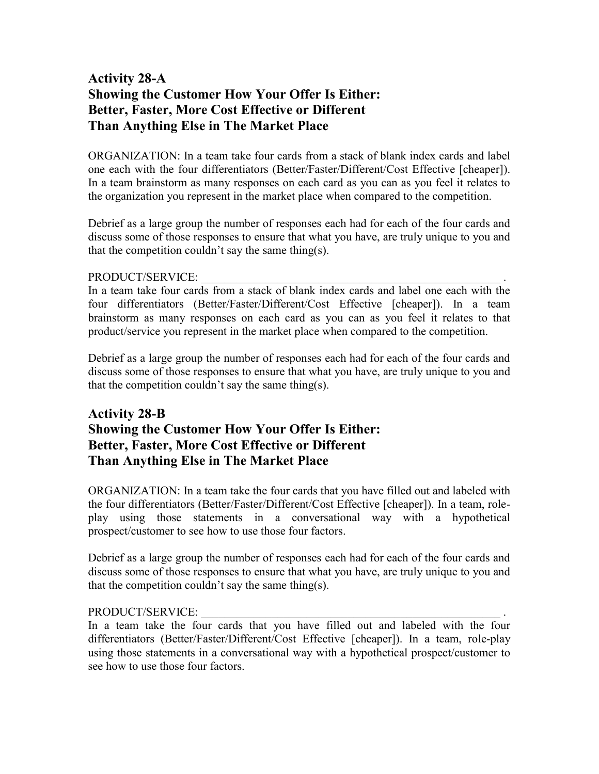## **Activity 28-A Showing the Customer How Your Offer Is Either: Better, Faster, More Cost Effective or Different Than Anything Else in The Market Place**

ORGANIZATION: In a team take four cards from a stack of blank index cards and label one each with the four differentiators (Better/Faster/Different/Cost Effective [cheaper]). In a team brainstorm as many responses on each card as you can as you feel it relates to the organization you represent in the market place when compared to the competition.

Debrief as a large group the number of responses each had for each of the four cards and discuss some of those responses to ensure that what you have, are truly unique to you and that the competition couldn't say the same thing(s).

## PRODUCT/SERVICE:

In a team take four cards from a stack of blank index cards and label one each with the four differentiators (Better/Faster/Different/Cost Effective [cheaper]). In a team brainstorm as many responses on each card as you can as you feel it relates to that product/service you represent in the market place when compared to the competition.

Debrief as a large group the number of responses each had for each of the four cards and discuss some of those responses to ensure that what you have, are truly unique to you and that the competition couldn't say the same thing(s).

## **Activity 28-B Showing the Customer How Your Offer Is Either: Better, Faster, More Cost Effective or Different Than Anything Else in The Market Place**

ORGANIZATION: In a team take the four cards that you have filled out and labeled with the four differentiators (Better/Faster/Different/Cost Effective [cheaper]). In a team, roleplay using those statements in a conversational way with a hypothetical prospect/customer to see how to use those four factors.

Debrief as a large group the number of responses each had for each of the four cards and discuss some of those responses to ensure that what you have, are truly unique to you and that the competition couldn't say the same thing(s).

## PRODUCT/SERVICE:

In a team take the four cards that you have filled out and labeled with the four differentiators (Better/Faster/Different/Cost Effective [cheaper]). In a team, role-play using those statements in a conversational way with a hypothetical prospect/customer to see how to use those four factors.